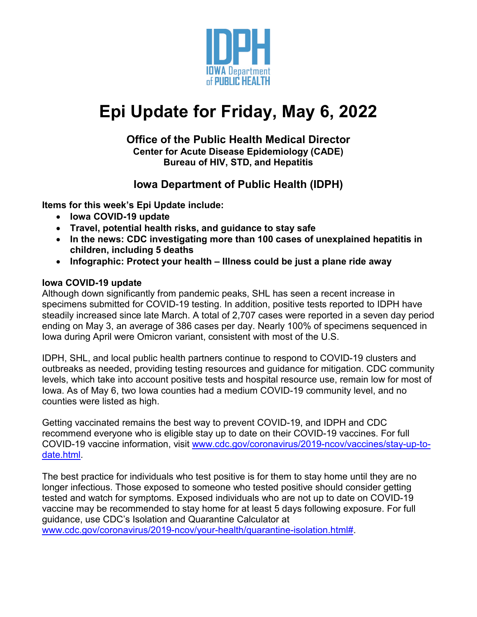

# **Epi Update for Friday, May 6, 2022**

#### **Office of the Public Health Medical Director Center for Acute Disease Epidemiology (CADE) Bureau of HIV, STD, and Hepatitis**

# **Iowa Department of Public Health (IDPH)**

**Items for this week's Epi Update include:**

- **Iowa COVID-19 update**
- **Travel, potential health risks, and guidance to stay safe**
- **In the news: CDC investigating more than 100 cases of unexplained hepatitis in children, including 5 deaths**
- **Infographic: Protect your health – Illness could be just a plane ride away**

# **Iowa COVID-19 update**

Although down significantly from pandemic peaks, SHL has seen a recent increase in specimens submitted for COVID-19 testing. In addition, positive tests reported to IDPH have steadily increased since late March. A total of 2,707 cases were reported in a seven day period ending on May 3, an average of 386 cases per day. Nearly 100% of specimens sequenced in Iowa during April were Omicron variant, consistent with most of the U.S.

IDPH, SHL, and local public health partners continue to respond to COVID-19 clusters and outbreaks as needed, providing testing resources and guidance for mitigation. CDC community levels, which take into account positive tests and hospital resource use, remain low for most of Iowa. As of May 6, two Iowa counties had a medium COVID-19 community level, and no counties were listed as high.

Getting vaccinated remains the best way to prevent COVID-19, and IDPH and CDC recommend everyone who is eligible stay up to date on their COVID-19 vaccines. For full COVID-19 vaccine information, visit [www.cdc.gov/coronavirus/2019-ncov/vaccines/stay-up-to](http://www.cdc.gov/coronavirus/2019-ncov/vaccines/stay-up-to-date.html)[date.html.](http://www.cdc.gov/coronavirus/2019-ncov/vaccines/stay-up-to-date.html)

The best practice for individuals who test positive is for them to stay home until they are no longer infectious. Those exposed to someone who tested positive should consider getting tested and watch for symptoms. Exposed individuals who are not up to date on COVID-19 vaccine may be recommended to stay home for at least 5 days following exposure. For full guidance, use CDC's Isolation and Quarantine Calculator at [www.cdc.gov/coronavirus/2019-ncov/your-health/quarantine-isolation.html#.](http://www.cdc.gov/coronavirus/2019-ncov/your-health/quarantine-isolation.html)